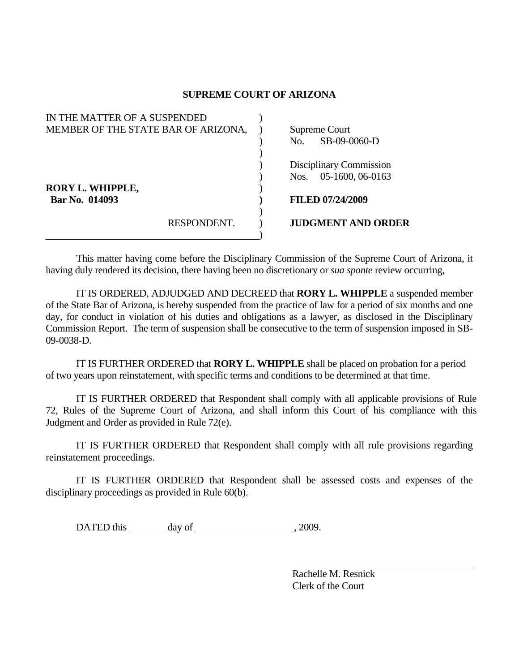## **SUPREME COURT OF ARIZONA**

| IN THE MATTER OF A SUSPENDED        |             |      |                           |
|-------------------------------------|-------------|------|---------------------------|
| MEMBER OF THE STATE BAR OF ARIZONA, |             |      | Supreme Court             |
|                                     |             | No.  | SB-09-0060-D              |
|                                     |             |      |                           |
|                                     |             |      | Disciplinary Commission   |
|                                     |             | Nos. | 05-1600, 06-0163          |
| <b>RORY L. WHIPPLE,</b>             |             |      |                           |
| Bar No. 014093                      |             |      | <b>FILED 07/24/2009</b>   |
|                                     |             |      |                           |
|                                     | RESPONDENT. |      | <b>JUDGMENT AND ORDER</b> |
|                                     |             |      |                           |

 This matter having come before the Disciplinary Commission of the Supreme Court of Arizona, it having duly rendered its decision, there having been no discretionary or *sua sponte* review occurring,

 IT IS ORDERED, ADJUDGED AND DECREED that **RORY L. WHIPPLE** a suspended member of the State Bar of Arizona, is hereby suspended from the practice of law for a period of six months and one day, for conduct in violation of his duties and obligations as a lawyer, as disclosed in the Disciplinary Commission Report. The term of suspension shall be consecutive to the term of suspension imposed in SB-09-0038-D.

IT IS FURTHER ORDERED that **RORY L. WHIPPLE** shall be placed on probation for a period of two years upon reinstatement, with specific terms and conditions to be determined at that time.

 IT IS FURTHER ORDERED that Respondent shall comply with all applicable provisions of Rule 72, Rules of the Supreme Court of Arizona, and shall inform this Court of his compliance with this Judgment and Order as provided in Rule 72(e).

 IT IS FURTHER ORDERED that Respondent shall comply with all rule provisions regarding reinstatement proceedings.

 IT IS FURTHER ORDERED that Respondent shall be assessed costs and expenses of the disciplinary proceedings as provided in Rule 60(b).

DATED this day of 3009.

 Rachelle M. Resnick Clerk of the Court